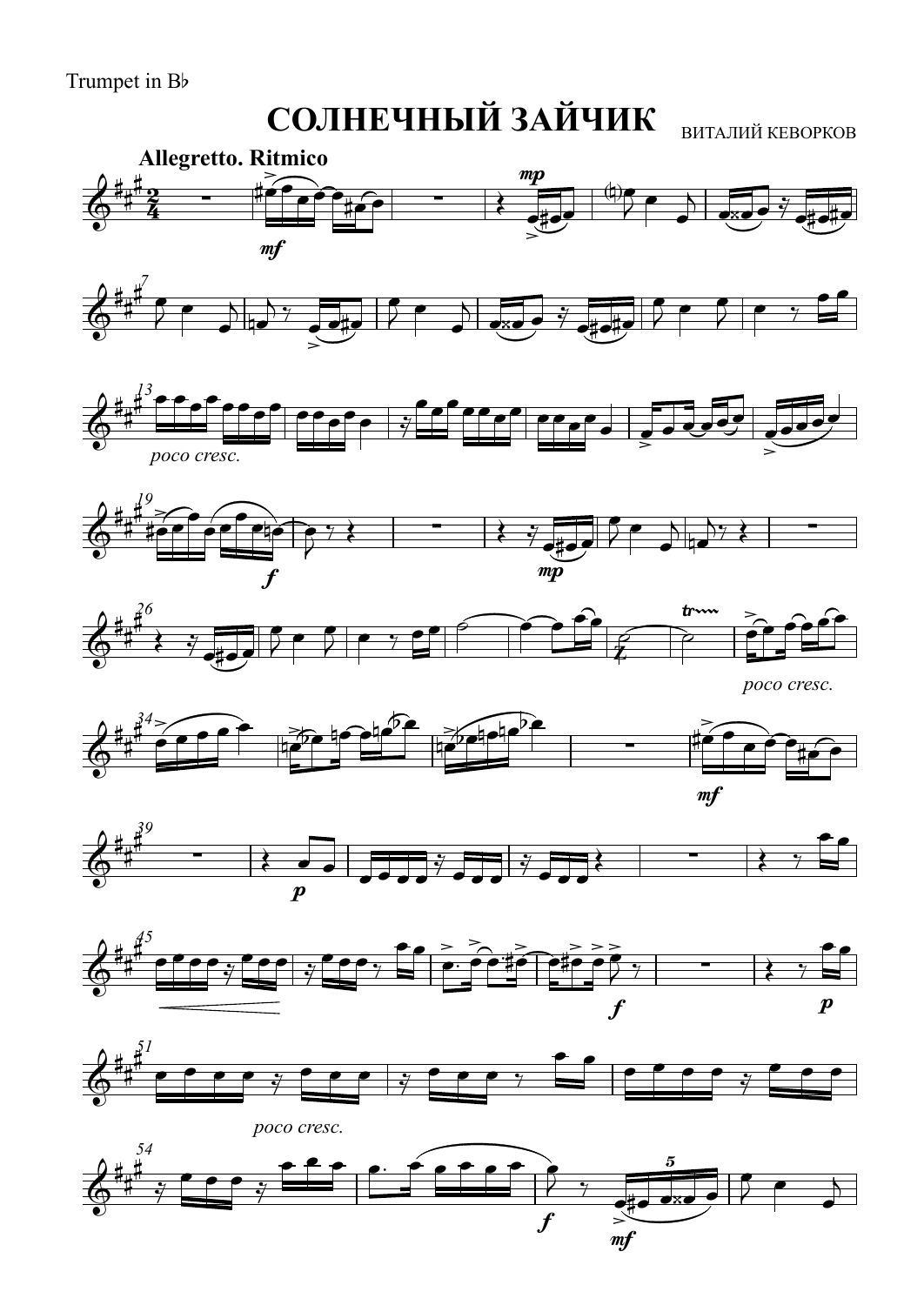Trumpet in Bb

## **СОЛНЕЧНЫЙ ЗАЙЧИК** ВИТАЛИЙ КЕВОРКОВ











*poco cresc.*